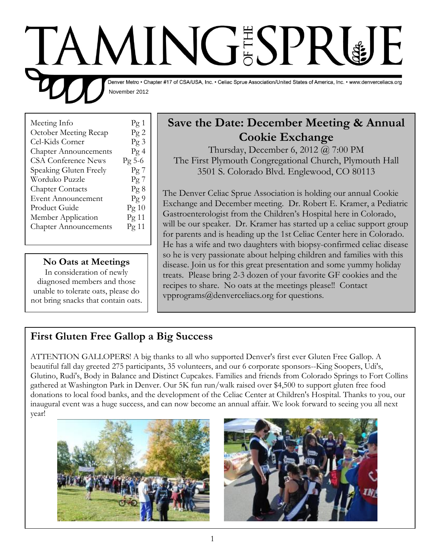# **TAMINGSPRUE** Denver Metro . Chapter #17 of CSA/USA, Inc. . Celiac Sprue Association/United States of America, Inc. . www.denverceliacs.org November 2012

| Meeting Info                 | $\log 1$         |
|------------------------------|------------------|
| October Meeting Recap        | Pg2              |
| Cel-Kids Corner              | Pg3              |
| <b>Chapter Announcements</b> | Pg4              |
| <b>CSA Conference News</b>   | $\text{Pg } 5-6$ |
| Speaking Gluten Freely       | $\log 7$         |
| Worduko Puzzle               | Pg7              |
| <b>Chapter Contacts</b>      | Pg8              |
| <b>Event Announcement</b>    | Pg9              |
| Product Guide                | Pg 10            |
| Member Application           | Pg 11            |
| <b>Chapter Announcements</b> | Pg 11            |
|                              |                  |

#### **No Oats at Meetings**

In consideration of newly diagnosed members and those unable to tolerate oats, please do not bring snacks that contain oats.

# **Save the Date: December Meeting & Annual Cookie Exchange**

Thursday, December 6, 2012 @ 7:00 PM The First Plymouth Congregational Church, Plymouth Hall 3501 S. Colorado Blvd. Englewood, CO 80113

The Denver Celiac Sprue Association is holding our annual Cookie Exchange and December meeting. Dr. Robert E. Kramer, a Pediatric Gastroenterologist from the Children's Hospital here in Colorado, will be our speaker. Dr. Kramer has started up a celiac support group for parents and is heading up the 1st Celiac Center here in Colorado. He has a wife and two daughters with biopsy-confirmed celiac disease so he is very passionate about helping children and families with this disease. Join us for this great presentation and some yummy holiday treats. Please bring 2-3 dozen of your favorite GF cookies and the recipes to share. No oats at the meetings please!! Contact vpprograms@denverceliacs.org for questions.

# **First Gluten Free Gallop a Big Success**

ATTENTION GALLOPERS! A big thanks to all who supported Denver's first ever Gluten Free Gallop. A beautiful fall day greeted 275 participants, 35 volunteers, and our 6 corporate sponsors--King Soopers, Udi's, Glutino, Rudi's, Body in Balance and Distinct Cupcakes. Families and friends from Colorado Springs to Fort Collins gathered at Washington Park in Denver. Our 5K fun run/walk raised over \$4,500 to support gluten free food donations to local food banks, and the development of the Celiac Center at Children's Hospital. Thanks to you, our inaugural event was a huge success, and can now become an annual affair. We look forward to seeing you all next year!



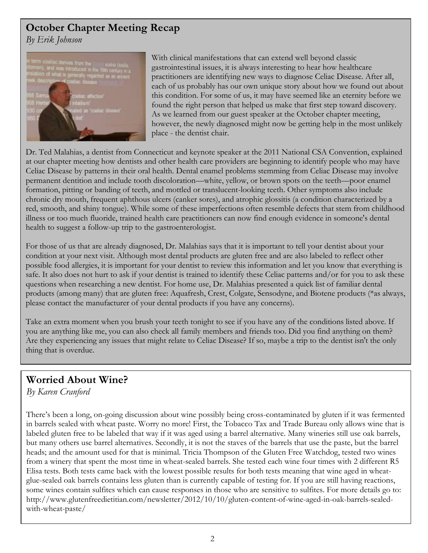## **October Chapter Meeting Recap**

*By Erik Johnson*



With clinical manifestations that can extend well beyond classic gastrointestinal issues, it is always interesting to hear how healthcare practitioners are identifying new ways to diagnose Celiac Disease. After all, each of us probably has our own unique story about how we found out about this condition. For some of us, it may have seemed like an eternity before we found the right person that helped us make that first step toward discovery. As we learned from our guest speaker at the October chapter meeting, however, the newly diagnosed might now be getting help in the most unlikely place - the dentist chair.

Dr. Ted Malahias, a dentist from Connecticut and keynote speaker at the 2011 National CSA Convention, explained at our chapter meeting how dentists and other health care providers are beginning to identify people who may have Celiac Disease by patterns in their oral health. Dental enamel problems stemming from Celiac Disease may involve permanent dentition and include tooth discoloration—white, yellow, or brown spots on the teeth—poor enamel formation, pitting or banding of teeth, and mottled or translucent-looking teeth. Other symptoms also include chronic dry mouth, frequent aphthous ulcers (canker sores), and atrophic glossitis (a condition characterized by a red, smooth, and shiny tongue). While some of these imperfections often resemble defects that stem from childhood illness or too much fluoride, trained health care practitioners can now find enough evidence in someone's dental health to suggest a follow-up trip to the gastroenterologist.

For those of us that are already diagnosed, Dr. Malahias says that it is important to tell your dentist about your condition at your next visit. Although most dental products are gluten free and are also labeled to reflect other possible food allergies, it is important for your dentist to review this information and let you know that everything is safe. It also does not hurt to ask if your dentist is trained to identify these Celiac patterns and/or for you to ask these questions when researching a new dentist. For home use, Dr. Malahias presented a quick list of familiar dental products (among many) that are gluten free: Aquafresh, Crest, Colgate, Sensodyne, and Biotene products (\*as always, please contact the manufacturer of your dental products if you have any concerns).

Take an extra moment when you brush your teeth tonight to see if you have any of the conditions listed above. If you are anything like me, you can also check all family members and friends too. Did you find anything on them? Are they experiencing any issues that might relate to Celiac Disease? If so, maybe a trip to the dentist isn't the only thing that is overdue.

## **Worried About Wine?**

*By Karen Cranford*

There's been a long, on-going discussion about wine possibly being cross-contaminated by gluten if it was fermented in barrels sealed with wheat paste. Worry no more! First, the Tobacco Tax and Trade Bureau only allows wine that is labeled gluten free to be labeled that way if it was aged using a barrel alternative. Many wineries still use oak barrels, but many others use barrel alternatives. Secondly, it is not the staves of the barrels that use the paste, but the barrel heads; and the amount used for that is minimal. Tricia Thompson of the Gluten Free Watchdog, tested two wines from a winery that spent the most time in wheat-sealed barrels. She tested each wine four times with 2 different R5 Elisa tests. Both tests came back with the lowest possible results for both tests meaning that wine aged in wheatglue-sealed oak barrels contains less gluten than is currently capable of testing for. If you are still having reactions, some wines contain sulfites which can cause responses in those who are sensitive to sulfites. For more details go to: http://www.glutenfreedietitian.com/newsletter/2012/10/10/gluten-content-of-wine-aged-in-oak-barrels-sealedwith-wheat-paste/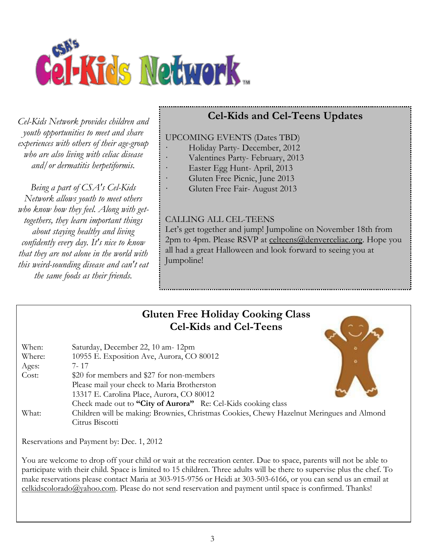

*Cel-Kids Network provides children and youth opportunities to meet and share experiences with others of their age-group who are also living with celiac disease and/or dermatitis herpetiformis.*

*Being a part of CSA's Cel-Kids Network allows youth to meet others who know how they feel. Along with gettogethers, they learn important things about staying healthy and living confidently every day. It's nice to know that they are not alone in the world with this weird-sounding disease and can't eat the same foods as their friends.*

# **Cel-Kids and Cel-Teens Updates**

#### UPCOMING EVENTS (Dates TBD)

- Holiday Party- December, 2012
- Valentines Party- February, 2013
- Easter Egg Hunt-April, 2013
- Gluten Free Picnic, June 2013
- Gluten Free Fair- August 2013

#### CALLING ALL CEL-TEENS

Let's get together and jump! Jumpoline on November 18th from 2pm to 4pm. Please RSVP at [celteens@denverceliac.org.](mailto:celteens@denverceliac.org) Hope you all had a great Halloween and look forward to seeing you at Jumpoline!

## **Gluten Free Holiday Cooking Class Cel-Kids and Cel-Teens**

| When:  | Saturday, December 22, 10 am-12pm                                                         |   |
|--------|-------------------------------------------------------------------------------------------|---|
| Where: | 10955 E. Exposition Ave, Aurora, CO 80012                                                 |   |
| Ages:  | 7- 17                                                                                     | ۰ |
| Cost:  | \$20 for members and \$27 for non-members                                                 |   |
|        | Please mail your check to Maria Brotherston                                               |   |
|        | 13317 E. Carolina Place, Aurora, CO 80012                                                 |   |
|        | Check made out to "City of Aurora" Re: Cel-Kids cooking class                             |   |
| What:  | Children will be making: Brownies, Christmas Cookies, Chewy Hazelnut Meringues and Almond |   |
|        | Citrus Biscotti                                                                           |   |

Reservations and Payment by: Dec. 1, 2012

You are welcome to drop off your child or wait at the recreation center. Due to space, parents will not be able to participate with their child. Space is limited to 15 children. Three adults will be there to supervise plus the chef. To make reservations please contact Maria at 303-915-9756 or Heidi at 303-503-6166, or you can send us an email at [celkidscolorado@yahoo.com.](mailto:celkidscolorado@yahoo.com) Please do not send reservation and payment until space is confirmed. Thanks!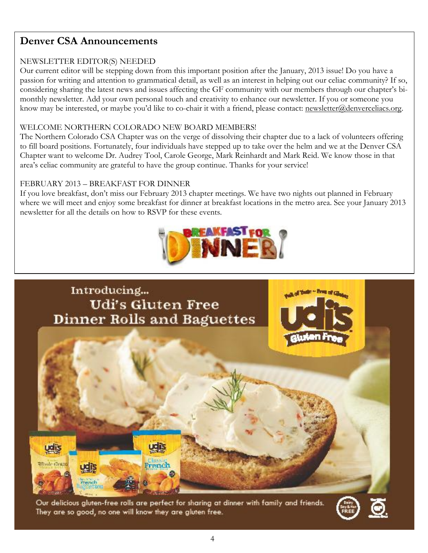## **Denver CSA Announcements**

#### NEWSLETTER EDITOR(S) NEEDED

Our current editor will be stepping down from this important position after the January, 2013 issue! Do you have a passion for writing and attention to grammatical detail, as well as an interest in helping out our celiac community? If so, considering sharing the latest news and issues affecting the GF community with our members through our chapter's bimonthly newsletter. Add your own personal touch and creativity to enhance our newsletter. If you or someone you know may be interested, or maybe you'd like to co-chair it with a friend, please contact: [newsletter@denverceliacs.org.](mailto:newsletter@denverceliacs.org)

#### WELCOME NORTHERN COLORADO NEW BOARD MEMBERS!

The Northern Colorado CSA Chapter was on the verge of dissolving their chapter due to a lack of volunteers offering to fill board positions. Fortunately, four individuals have stepped up to take over the helm and we at the Denver CSA Chapter want to welcome Dr. Audrey Tool, Carole George, Mark Reinhardt and Mark Reid. We know those in that area's celiac community are grateful to have the group continue. Thanks for your service!

#### FEBRUARY 2013 – BREAKFAST FOR DINNER

If you love breakfast, don't miss our February 2013 chapter meetings. We have two nights out planned in February where we will meet and enjoy some breakfast for dinner at breakfast locations in the metro area. See your January 2013 newsletter for all the details on how to RSVP for these events.





Our delicious gluten-free rolls are perfect for sharing at dinner with family and friends. They are so good, no one will know they are gluten free.

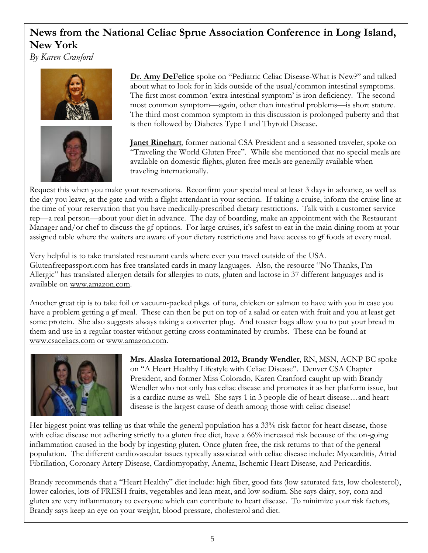## **News from the National Celiac Sprue Association Conference in Long Island, New York**

*By Karen Cranford*





**Dr. Amy DeFelice** spoke on "Pediatric Celiac Disease-What is New?" and talked about what to look for in kids outside of the usual/common intestinal symptoms. The first most common 'extra-intestinal symptom' is iron deficiency. The second most common symptom—again, other than intestinal problems—is short stature. The third most common symptom in this discussion is prolonged puberty and that is then followed by Diabetes Type I and Thyroid Disease.

**Janet Rinehart**, former national CSA President and a seasoned traveler, spoke on "Traveling the World Gluten Free". While she mentioned that no special meals are available on domestic flights, gluten free meals are generally available when traveling internationally.

Request this when you make your reservations. Reconfirm your special meal at least 3 days in advance, as well as the day you leave, at the gate and with a flight attendant in your section. If taking a cruise, inform the cruise line at the time of your reservation that you have medically-prescribed dietary restrictions. Talk with a customer service rep—a real person—about your diet in advance. The day of boarding, make an appointment with the Restaurant Manager and/or chef to discuss the gf options. For large cruises, it's safest to eat in the main dining room at your assigned table where the waiters are aware of your dietary restrictions and have access to gf foods at every meal.

Very helpful is to take translated restaurant cards where ever you travel outside of the USA. Glutenfreepassport.com has free translated cards in many languages. Also, the resource "No Thanks, I'm Allergic" has translated allergen details for allergies to nuts, gluten and lactose in 37 different languages and is available on [www.amazon.com.](http://www.amazon.com/)

Another great tip is to take foil or vacuum-packed pkgs. of tuna, chicken or salmon to have with you in case you have a problem getting a gf meal. These can then be put on top of a salad or eaten with fruit and you at least get some protein. She also suggests always taking a converter plug. And toaster bags allow you to put your bread in them and use in a regular toaster without getting cross contaminated by crumbs. These can be found at [www.csaceliacs.com](http://www.csaceliacs.com/) or [www.amazon.com.](http://www.amazon.com/)



**Mrs. Alaska International 2012, Brandy Wendler**, RN, MSN, ACNP-BC spoke on "A Heart Healthy Lifestyle with Celiac Disease". Denver CSA Chapter President, and former Miss Colorado, Karen Cranford caught up with Brandy Wendler who not only has celiac disease and promotes it as her platform issue, but is a cardiac nurse as well. She says 1 in 3 people die of heart disease…and heart disease is the largest cause of death among those with celiac disease!

Her biggest point was telling us that while the general population has a 33% risk factor for heart disease, those with celiac disease not adhering strictly to a gluten free diet, have a 66% increased risk because of the on-going inflammation caused in the body by ingesting gluten. Once gluten free, the risk returns to that of the general population. The different cardiovascular issues typically associated with celiac disease include: Myocarditis, Atrial Fibrillation, Coronary Artery Disease, Cardiomyopathy, Anema, Ischemic Heart Disease, and Pericarditis.

Brandy recommends that a "Heart Healthy" diet include: high fiber, good fats (low saturated fats, low cholesterol), lower calories, lots of FRESH fruits, vegetables and lean meat, and low sodium. She says dairy, soy, corn and gluten are very inflammatory to everyone which can contribute to heart disease. To minimize your risk factors, Brandy says keep an eye on your weight, blood pressure, cholesterol and diet.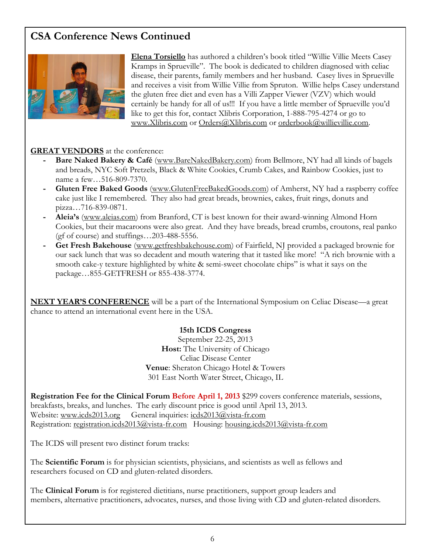## **CSA Conference News Continued**



**Elena Torsiello** has authored a children's book titled "Willie Villie Meets Casey Kramps in Sprueville". The book is dedicated to children diagnosed with celiac disease, their parents, family members and her husband. Casey lives in Sprueville and receives a visit from Willie Villie from Spruton. Willie helps Casey understand the gluten free diet and even has a Villi Zapper Viewer (VZV) which would certainly be handy for all of us!!! If you have a little member of Sprueville you'd like to get this for, contact Xlibris Corporation, 1-888-795-4274 or go to [www.Xlibris.com](http://www.xlibris.com/) or [Orders@Xlibris.com](mailto:Orders@Xlibris.com) or [orderbook@willievillie.com.](mailto:orderbook@willievillie.com)

#### **GREAT VENDORS** at the conference:

- **- Bare Naked Bakery & Café** [\(www.BareNakedBakery.com\)](http://www.barenakedbakery.com/) from Bellmore, NY had all kinds of bagels and breads, NYC Soft Pretzels, Black & White Cookies, Crumb Cakes, and Rainbow Cookies, just to name a few…516-809-7370.
- **- Gluten Free Baked Goods** [\(www.GlutenFreeBakedGoods.com\)](http://www.glutenfreebakedgoods.com/) of Amherst, NY had a raspberry coffee cake just like I remembered. They also had great breads, brownies, cakes, fruit rings, donuts and pizza…716-839-0871.
- **- Aleia's** [\(www.aleias.com\)](http://www.aleias.com/) from Branford, CT is best known for their award-winning Almond Horn Cookies, but their macaroons were also great. And they have breads, bread crumbs, croutons, real panko (gf of course) and stuffings…203-488-5556.
- **- Get Fresh Bakehouse** [\(www.getfreshbakehouse.com\)](http://www.getfreshbakehouse.com/) of Fairfield, NJ provided a packaged brownie for our sack lunch that was so decadent and mouth watering that it tasted like more! "A rich brownie with a smooth cake-y texture highlighted by white & semi-sweet chocolate chips" is what it says on the package…855-GETFRESH or 855-438-3774.

**NEXT YEAR'S CONFERENCE** will be a part of the International Symposium on Celiac Disease—a great chance to attend an international event here in the USA.

#### **15th ICDS Congress**

September 22-25, 2013 **Host:** The University of Chicago Celiac Disease Center **Venue**: Sheraton Chicago Hotel & Towers 301 East North Water Street, Chicago, IL

**Registration Fee for the Clinical Forum Before April 1, 2013** \$299 covers conference materials, sessions, breakfasts, breaks, and lunches. The early discount price is good until April 13, 2013. Website: [www.icds2013.org](http://www.icds2013.org/) General inquiries: [icds2013@vista-fr.com](mailto:icds2013@vista-fr.com) Registration: [registration.icds2013@vista-fr.com](mailto:registration.icds2013@vista-fr.com) Housing: [housing.icds2013@vista-fr.com](mailto:housing.icds2013@vista-fr.com)

The ICDS will present two distinct forum tracks:

The **Scientific Forum** is for physician scientists, physicians, and scientists as well as fellows and researchers focused on CD and gluten-related disorders.

The **Clinical Forum** is for registered dietitians, nurse practitioners, support group leaders and members, alternative practitioners, advocates, nurses, and those living with CD and gluten-related disorders.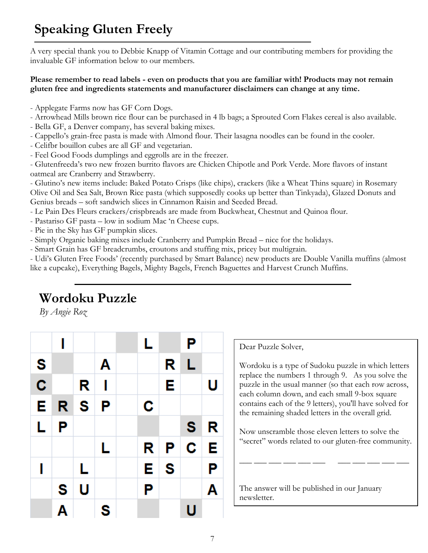# **Speaking Gluten Freely**

A very special thank you to Debbie Knapp of Vitamin Cottage and our contributing members for providing the invaluable GF information below to our members.

#### **Please remember to read labels - even on products that you are familiar with! Products may not remain gluten free and ingredients statements and manufacturer disclaimers can change at any time.**

- Applegate Farms now has GF Corn Dogs.
- Arrowhead Mills brown rice flour can be purchased in 4 lb bags; a Sprouted Corn Flakes cereal is also available.
- Bella GF, a Denver company, has several baking mixes.
- Cappello's grain-free pasta is made with Almond flour. Their lasagna noodles can be found in the cooler.
- Celifbr bouillon cubes are all GF and vegetarian.
- Feel Good Foods dumplings and eggrolls are in the freezer.

- Glutenfreeda's two new frozen burrito flavors are Chicken Chipotle and Pork Verde. More flavors of instant oatmeal are Cranberry and Strawberry.

- Glutino's new items include: Baked Potato Crisps (like chips), crackers (like a Wheat Thins square) in Rosemary Olive Oil and Sea Salt, Brown Rice pasta (which supposedly cooks up better than Tinkyada), Glazed Donuts and Genius breads – soft sandwich slices in Cinnamon Raisin and Seeded Bread.

- Le Pain Des Fleurs crackers/crispbreads are made from Buckwheat, Chestnut and Quinoa flour.

- Pastariso GF pasta low in sodium Mac 'n Cheese cups.
- Pie in the Sky has GF pumpkin slices.
- Simply Organic baking mixes include Cranberry and Pumpkin Bread nice for the holidays.
- Smart Grain has GF breadcrumbs, croutons and stuffing mix, pricey but multigrain.

- Udi's Gluten Free Foods' (recently purchased by Smart Balance) new products are Double Vanilla muffins (almost like a cupcake), Everything Bagels, Mighty Bagels, French Baguettes and Harvest Crunch Muffins.

# **Wordoku Puzzle**

*By Angie Roz*

|                         | I |                |   | L |    | Ρ |   |
|-------------------------|---|----------------|---|---|----|---|---|
| S                       |   |                | Α |   | R  | L |   |
| $\overline{\mathbf{c}}$ |   | R              | I |   | E  |   | U |
| E                       |   | R <sub>S</sub> | P | C |    |   |   |
| L                       | P |                |   |   |    | S | R |
|                         |   |                | L | R | ∣P | C | E |
| ı                       |   | L              |   | E | S  |   | Ρ |
|                         | S | U              |   | Ρ |    |   | A |
|                         | Α |                | S |   |    | U |   |

Dear Puzzle Solver,

Wordoku is a type of Sudoku puzzle in which letters replace the numbers 1 through 9. As you solve the puzzle in the usual manner (so that each row across, each column down, and each small 9-box square contains each of the 9 letters), you'll have solved for the remaining shaded letters in the overall grid.

Now unscramble those eleven letters to solve the "secret" words related to our gluten-free community.

\_\_\_ \_\_\_ \_\_\_ \_\_\_ \_\_\_ \_\_\_ \_\_\_ \_\_\_ \_\_\_ \_\_\_ \_\_\_

The answer will be published in our January newsletter.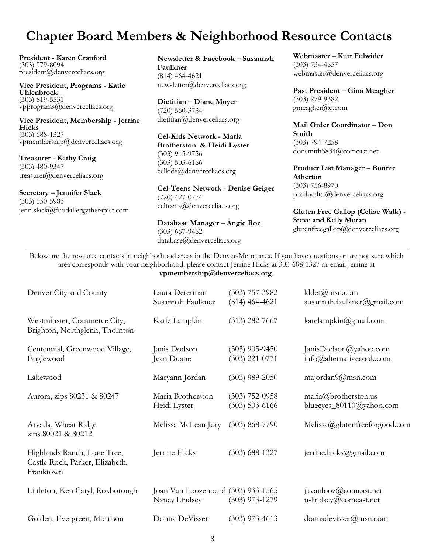# **Chapter Board Members & Neighborhood Resource Contacts**

**President - Karen Cranford**  (303) 979-8094 president@denverceliacs.org

**Vice President, Programs - Katie Uhlenbrock** (303) 819-5531 vpprograms@denverceliacs.org

**Vice President, Membership - Jerrine Hicks** (303) 688-1327 vpmembership@denverceliacs.org

**Treasurer - Kathy Craig** (303) 480-9347 treasurer@denverceliacs.org

**Secretary – Jennifer Slack** (303) 550-5983 jenn.slack@foodallergytherapist.com **Newsletter & Facebook – Susannah Faulkner** (814) 464-4621 newsletter@denverceliacs.org

**Dietitian – Diane Moyer**  (720) 560-3734 dietitian@denverceliacs.org

**Cel-Kids Network - Maria Brotherston & Heidi Lyster** (303) 915-9756 (303) 503-6166 celkids@denverceliacs.org

**Cel-Teens Network - Denise Geiger** (720) 427-0774 celteens@denverceliacs.org

**Database Manager – Angie Roz** (303) 667-9462 database@denverceliacs.org

**Webmaster – Kurt Fulwider** (303) 734-4657 webmaster@denverceliacs.org

**Past President – Gina Meagher**  (303) 279-9382 gmeagher@q.com

**Mail Order Coordinator – Don Smith** (303) 794-7258 donsmith6834@comcast.net

**Product List Manager – Bonnie Atherton** (303) 756-8970 productlist@denverceliacs.org

**Gluten Free Gallop (Celiac Walk) - Steve and Kelly Moran** glutenfreegallop@denverceliacs.org

Below are the resource contacts in neighborhood areas in the Denver-Metro area. If you have questions or are not sure which area corresponds with your neighborhood, please contact Jerrine Hicks at 303-688-1327 or email Jerrine at **vpmembership@denverceliacs.org**.

| Denver City and County                                                      | Laura Determan<br>Susannah Faulkner                 | $(303)$ 757-3982<br>$(814)$ 464-4621 | $lddet(a)$ msn.com<br>susannah.faulkner@gmail.com |
|-----------------------------------------------------------------------------|-----------------------------------------------------|--------------------------------------|---------------------------------------------------|
| Westminster, Commerce City,<br>Brighton, Northglenn, Thornton               | Katie Lampkin                                       | $(313)$ 282-7667                     | katelampkin@gmail.com                             |
| Centennial, Greenwood Village,<br>Englewood                                 | Janis Dodson<br>Jean Duane                          | $(303)$ 905-9450<br>$(303)$ 221-0771 | JanisDodson@yahoo.com<br>info@alternativecook.com |
| Lakewood                                                                    | Maryann Jordan                                      | $(303)$ 989-2050                     | majordan9@msn.com                                 |
| Aurora, zips 80231 & 80247                                                  | Maria Brotherston<br>Heidi Lyster                   | $(303)$ 752-0958<br>$(303)$ 503-6166 | maria@brotherston.us<br>blueeyes_80110@yahoo.com  |
| Arvada, Wheat Ridge<br>zips 80021 & 80212                                   | Melissa McLean Jory                                 | $(303) 868 - 7790$                   | Melissa@glutenfreeforgood.com                     |
| Highlands Ranch, Lone Tree,<br>Castle Rock, Parker, Elizabeth,<br>Franktown | Jerrine Hicks                                       | $(303)$ 688-1327                     | jerrine.hicks@gmail.com                           |
| Littleton, Ken Caryl, Roxborough                                            | Joan Van Loozenoord (303) 933-1565<br>Nancy Lindsey | $(303)$ 973-1279                     | jkvanlooz@comcast.net<br>n-lindsey@comcast.net    |
| Golden, Evergreen, Morrison                                                 | Donna DeVisser                                      | $(303)$ 973-4613                     | donnadevisser@msn.com                             |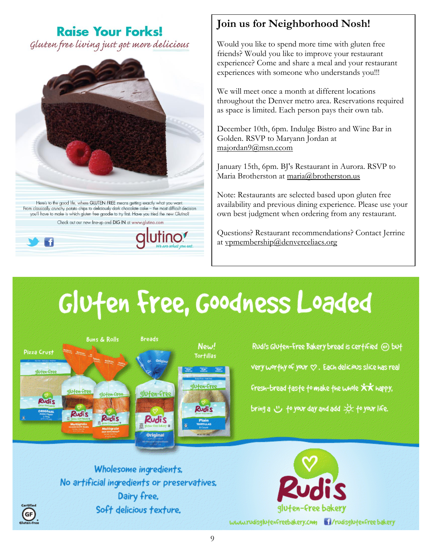## **Raise Your Forks!**

Gluten free living just got more delicious



## **Join us for Neighborhood Nosh!**

Would you like to spend more time with gluten free friends? Would you like to improve your restaurant experience? Come and share a meal and your restaurant experiences with someone who understands you!!!

We will meet once a month at different locations throughout the Denver metro area. Reservations required as space is limited. Each person pays their own tab.

December 10th, 6pm. Indulge Bistro and Wine Bar in Golden. RSVP to Maryann Jordan at [majordan9@msn.ccom](mailto:majordan9@msn.ccom)

January 15th, 6pm. BJ's Restaurant in Aurora. RSVP to Maria Brotherston at [maria@brotherston.us](mailto:maria@brotherston.us)

Note: Restaurants are selected based upon gluten free availability and previous dining experience. Please use your own best judgment when ordering from any restaurant.

Questions? Restaurant recommendations? Contact Jerrine at [vpmembership@denverceliacs.org](mailto:vpmembership@denverceliacs.org)

# Glufen Free, Goodness Loaded



Rudi's Glufen-Free Bakery bread is cerfified @ buf very worthy of your  $\heartsuit$  . Each delicious slice has real Fresh-bread fasfe fo make the whole XX happy, bring a  $\cup$  to your day and add  $\gg$  to your life.

Wholesome ingredients. No artificial ingredients or preservatives. Dairy free. Soft delicious texture.

 $\left($ GF

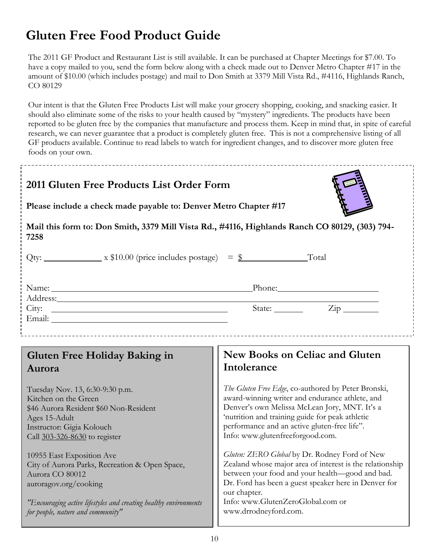# **Gluten Free Food Product Guide**

The 2011 GF Product and Restaurant List is still available. It can be purchased at Chapter Meetings for \$7.00. To have a copy mailed to you, send the form below along with a check made out to Denver Metro Chapter #17 in the amount of \$10.00 (which includes postage) and mail to Don Smith at 3379 Mill Vista Rd., #4116, Highlands Ranch, CO 80129

Our intent is that the Gluten Free Products List will make your grocery shopping, cooking, and snacking easier. It should also eliminate some of the risks to your health caused by "mystery" ingredients. The products have been reported to be gluten free by the companies that manufacture and process them. Keep in mind that, in spite of careful research, we can never guarantee that a product is completely gluten free. This is not a comprehensive listing of all GF products available. Continue to read labels to watch for ingredient changes, and to discover more gluten free foods on your own.

| 2011 Gluten Free Products List Order Form<br>Please include a check made payable to: Denver Metro Chapter #17<br>Mail this form to: Don Smith, 3379 Mill Vista Rd., #4116, Highlands Ranch CO 80129, (303) 794-<br>7258<br>Qty: $\frac{\text{Qt}}{\text{Qt}}$ x \$10.00 (price includes postage) = \$<br>Total                                                                                                                                                                                                            |                                                                                                                                                                                                                                                                                                                                                                                                                                                                                                                                                                                                                                                              |  |  |  |
|---------------------------------------------------------------------------------------------------------------------------------------------------------------------------------------------------------------------------------------------------------------------------------------------------------------------------------------------------------------------------------------------------------------------------------------------------------------------------------------------------------------------------|--------------------------------------------------------------------------------------------------------------------------------------------------------------------------------------------------------------------------------------------------------------------------------------------------------------------------------------------------------------------------------------------------------------------------------------------------------------------------------------------------------------------------------------------------------------------------------------------------------------------------------------------------------------|--|--|--|
| Phone: Phone Phone Phone Phone Phone Phone Phone Phone Phone Phone Phone Phone Phone Phone Phone Phone Phone Phone Phone Phone Phone Phone Phone Phone Phone Phone Phone Phone Phone Phone Phone Phone Phone Phone Phone Phone<br>Name: Name Contract Contract Contract Contract Contract Contract Contract Contract Contract Contract Contract Contract Contract Contract Contract Contract Contract Contract Contract Contract Contract Contract Contract Cont<br>Address: <u>Address</u><br>State: <u>Zip</u><br>City: |                                                                                                                                                                                                                                                                                                                                                                                                                                                                                                                                                                                                                                                              |  |  |  |
| Gluten Free Holiday Baking in<br>Aurora<br>Tuesday Nov. 13, 6:30-9:30 p.m.<br>Kitchen on the Green<br>\$46 Aurora Resident \$60 Non-Resident<br>Ages 15-Adult<br>Instructor: Gigia Kolouch<br>Call 303-326-8630 to register<br>10955 East Exposition Ave<br>City of Aurora Parks, Recreation & Open Space,<br>Aurora CO 80012<br>auroragov.org/cooking<br>"Encouraging active lifestyles and creating healthy environments<br>for people, nature and community"                                                           | <b>New Books on Celiac and Gluten</b><br>Intolerance<br>The Gluten Free Edge, co-authored by Peter Bronski,<br>award-winning writer and endurance athlete, and<br>Denver's own Melissa McLean Jory, MNT. It's a<br>'nutrition and training guide for peak athletic<br>performance and an active gluten-free life".<br>Info: www.glutenfreeforgood.com.<br>Gluten: ZERO Global by Dr. Rodney Ford of New<br>Zealand whose major area of interest is the relationship<br>between your food and your health-good and bad.<br>Dr. Ford has been a guest speaker here in Denver for<br>our chapter.<br>Info: www.GlutenZeroGlobal.com or<br>www.drrodneyford.com. |  |  |  |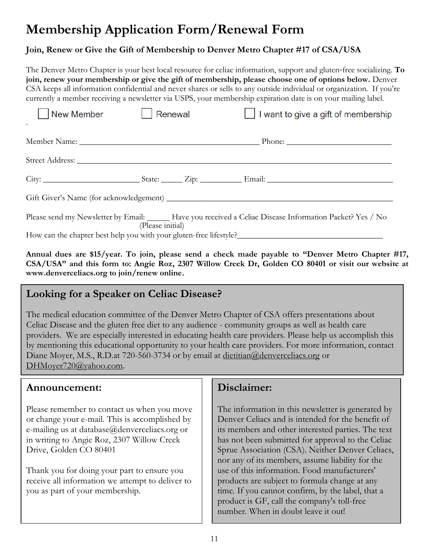# **Membership Application Form/Renewal Form**

#### **Join, Renew or Give the Gift of Membership to Denver Metro Chapter #17 of CSA/USA**

The Denver Metro Chapter is your best local resource for celiac information, support and gluten‐free socializing. **To join, renew your membership or give the gift of membership, please choose one of options below.** Denver CSA keeps all information confidential and never shares or sells to any outside individual or organization. If you're currently a member receiving a newsletter via USPS, your membership expiration date is on your mailing label.

| New Member | Renewal          | I want to give a gift of membership                                                                       |
|------------|------------------|-----------------------------------------------------------------------------------------------------------|
|            |                  |                                                                                                           |
|            |                  |                                                                                                           |
|            |                  |                                                                                                           |
|            |                  |                                                                                                           |
|            | (Please initial) | Please send my Newsletter by Email: _____ Have you received a Celiac Disease Information Packet? Yes / No |
|            |                  |                                                                                                           |

**Annual dues are \$15/year. To join, please send a check made payable to "Denver Metro Chapter #17,**  CSA/USA" and this form to: Angie Roz, 2307 Willow Creek Dr, Golden CO 80401 or visit our website at **[www.denverceliacs.org](http://www.denverceliacs.org/) to join/renew online.**

### **Looking for a Speaker on Celiac Disease?**

The medical education committee of the Denver Metro Chapter of CSA offers presentations about Celiac Disease and the gluten free diet to any audience - community groups as well as health care providers. We are especially interested in educating health care providers. Please help us accomplish this by mentioning this educational opportunity to your health care providers. For more information, contact Diane Moyer, M.S., R.D.at 720-560-3734 or by email at [dietitian@denverceliacs.org](mailto:dietitian@denverceliacs.org) or [DHMoyer720@yahoo.com.](mailto:DHMoyer720@yahoo.com)

#### **Announcement:**

Please remember to contact us when you move or change your e-mail. This is accomplished by e-mailing us at database@denverceliacs.org or in writing to Angie Roz, 2307 Willow Creek Drive, Golden CO 80401

Thank you for doing your part to ensure you receive all information we attempt to deliver to you as part of your membership.

### **Disclaimer:**

The information in this newsletter is generated by Denver Celiacs and is intended for the benefit of its members and other interested parties. The text has not been submitted for approval to the Celiac Sprue Association (CSA). Neither Denver Celiacs, nor any of its members, assume liability for the use of this information. Food manufacturers' products are subject to formula change at any time. If you cannot confirm, by the label, that a product is GF, call the company's toll-free number. When in doubt leave it out!